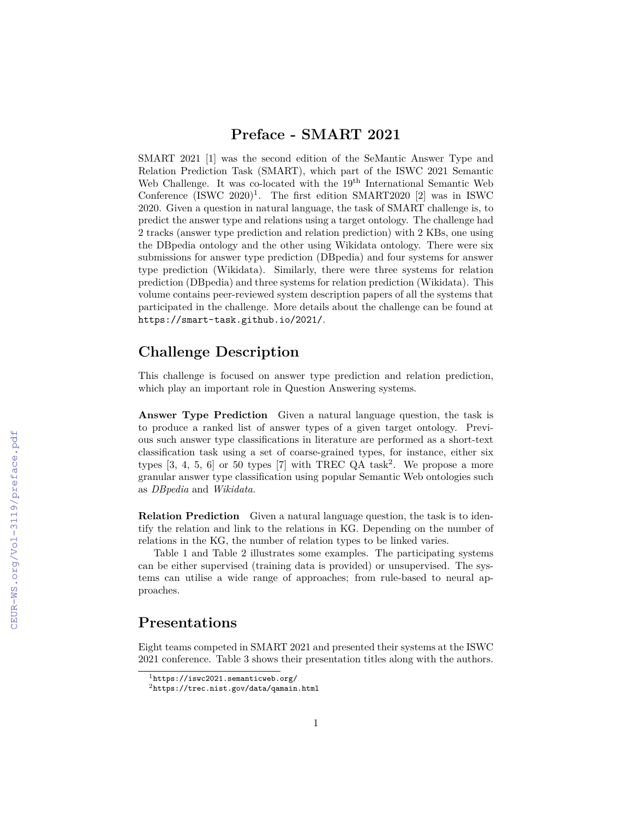SMART 2021 [1] was the second edition of the SeMantic Answer Type and Relation Prediction Task (SMART), which part of the ISWC 2021 Semantic Web Challenge. It was co-located with the 19<sup>th</sup> International Semantic Web Conference  $(ISWC 2020)^1$ . The first edition SMART2020 [2] was in ISWC 2020. Given a question in natural language, the task of SMART challenge is, to predict the answer type and relations using a target ontology. The challenge had 2 tracks (answer type prediction and relation prediction) with 2 KBs, one using the DBpedia ontology and the other using Wikidata ontology. There were six submissions for answer type prediction (DBpedia) and four systems for answer type prediction (Wikidata). Similarly, there were three systems for relation prediction (DBpedia) and three systems for relation prediction (Wikidata). This volume contains peer-reviewed system description papers of all the systems that participated in the challenge. More details about the challenge can be found at https://smart-task.github.io/2021/.

## **Challenge Description**

This challenge is focused on answer type prediction and relation prediction, which play an important role in Question Answering systems.

**Answer Type Prediction** Given a natural language question, the task is to produce a ranked list of answer types of a given target ontology. Previous such answer type classifications in literature are performed as a short-text classification task using a set of coarse-grained types, for instance, either six types  $[3, 4, 5, 6]$  or 50 types  $[7]$  with TREC QA task<sup>2</sup>. We propose a more granular answer type classification using popular Semantic Web ontologies such as *DBpedia* and *Wikidata*.

**Relation Prediction** Given a natural language question, the task is to identify the relation and link to the relations in KG. Depending on the number of relations in the KG, the number of relation types to be linked varies.

Table 1 and Table 2 illustrates some examples. The participating systems can be either supervised (training data is provided) or unsupervised. The systems can utilise a wide range of approaches; from rule-based to neural approaches.

## **Presentations**

Eight teams competed in SMART 2021 and presented their systems at the ISWC 2021 conference. Table 3 shows their presentation titles along with the authors.

 $1$ https://iswc2021.semanticweb.org/

<sup>2</sup>https://trec.nist.gov/data/qamain.html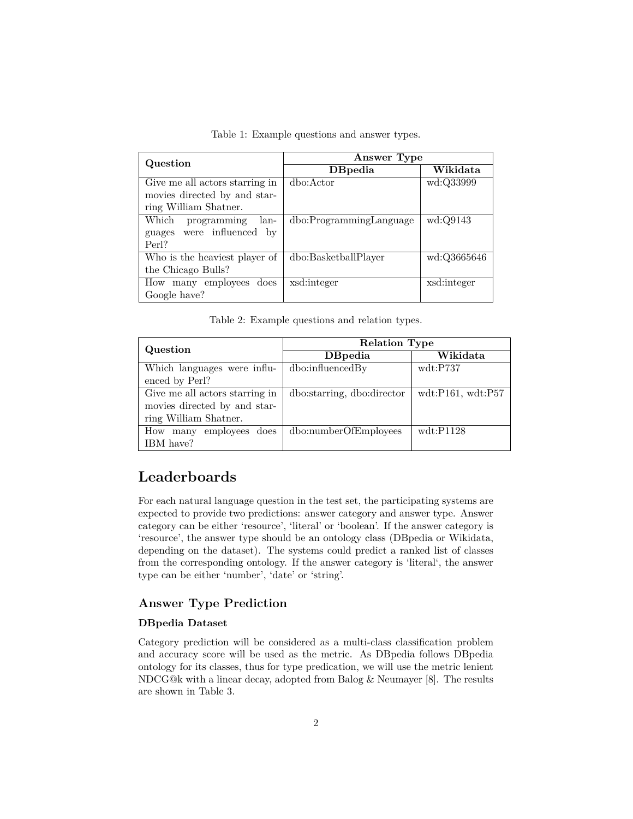Table 1: Example questions and answer types.

| Question                       | Answer Type             |             |
|--------------------------------|-------------------------|-------------|
|                                | <b>D</b> Bpedia         | Wikidata    |
| Give me all actors starring in | dbo:Actor               | wd:Q33999   |
| movies directed by and star-   |                         |             |
| ring William Shatner.          |                         |             |
| programming<br>Which<br>lan-   | dbo:ProgrammingLanguage | wd:Q9143    |
| guages were influenced by      |                         |             |
| Perl?                          |                         |             |
| Who is the heaviest player of  | dbo:BasketballPlayer    | wd:Q3665646 |
| the Chicago Bulls?             |                         |             |
| How many employees does        | xsd:integer             | xsd:integer |
| Google have?                   |                         |             |

Table 2: Example questions and relation types.

| Question                       | <b>Relation Type</b>       |                                  |  |
|--------------------------------|----------------------------|----------------------------------|--|
|                                | <b>D</b> Bpedia            | Wikidata                         |  |
| Which languages were influ-    | dbo:influencedBy           | wdt: P737                        |  |
| enced by Perl?                 |                            |                                  |  |
| Give me all actors starring in | dbo:starring, dbo:director | $\text{wdt}:P161,\text{wdt}:P57$ |  |
| movies directed by and star-   |                            |                                  |  |
| ring William Shatner.          |                            |                                  |  |
| How many employees does        | dbo:numberOfEmployees      | wdt: P1128                       |  |
| IBM have?                      |                            |                                  |  |

# **Leaderboards**

For each natural language question in the test set, the participating systems are expected to provide two predictions: answer category and answer type. Answer category can be either 'resource', 'literal' or 'boolean'. If the answer category is 'resource', the answer type should be an ontology class (DBpedia or Wikidata, depending on the dataset). The systems could predict a ranked list of classes from the corresponding ontology. If the answer category is 'literal', the answer type can be either 'number', 'date' or 'string'.

### **Answer Type Prediction**

#### **DBpedia Dataset**

Category prediction will be considered as a multi-class classification problem and accuracy score will be used as the metric. As DBpedia follows DBpedia ontology for its classes, thus for type predication, we will use the metric lenient NDCG@k with a linear decay, adopted from Balog & Neumayer [8]. The results are shown in Table 3.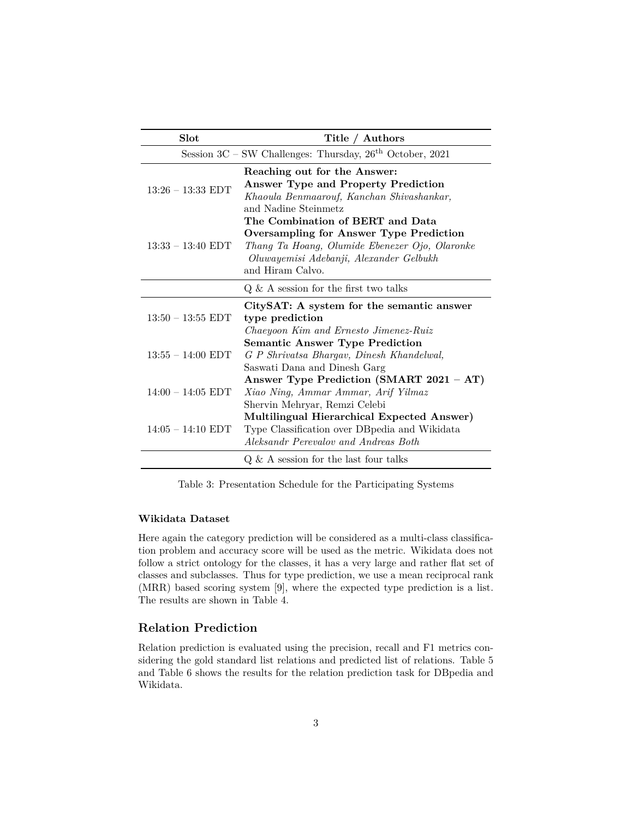| Slot                | Title / Authors                                                                                                                                                                                     |
|---------------------|-----------------------------------------------------------------------------------------------------------------------------------------------------------------------------------------------------|
|                     | Session $3C$ – SW Challenges: Thursday, $26th$ October, 2021                                                                                                                                        |
| $13:26 - 13:33$ EDT | Reaching out for the Answer:<br>Answer Type and Property Prediction<br>Khaoula Benmaarouf, Kanchan Shivashankar,<br>and Nadine Steinmetz                                                            |
| $13:33 - 13:40$ EDT | The Combination of BERT and Data<br><b>Oversampling for Answer Type Prediction</b><br>Thang Ta Hoang, Olumide Ebenezer Ojo, Olaronke<br>Oluwayemisi Adebanji, Alexander Gelbukh<br>and Hiram Calvo. |
|                     | $Q \& A$ session for the first two talks                                                                                                                                                            |
| $13:50 - 13:55$ EDT | CitySAT: A system for the semantic answer<br>type prediction<br>Chaeyoon Kim and Ernesto Jimenez-Ruiz                                                                                               |
| $13:55 - 14:00$ EDT | <b>Semantic Answer Type Prediction</b><br>G P Shrivatsa Bhargav, Dinesh Khandelwal,<br>Saswati Dana and Dinesh Garg                                                                                 |
| $14:00 - 14:05$ EDT | Answer Type Prediction (SMART 2021 - AT)<br>Xiao Ning, Ammar Ammar, Arif Yilmaz<br>Shervin Mehryar, Remzi Celebi                                                                                    |
| $14:05 - 14:10$ EDT | Multilingual Hierarchical Expected Answer)<br>Type Classification over DB pedia and Wikidata<br>Aleksandr Perevalov and Andreas Both                                                                |
|                     | $Q \& A$ session for the last four talks                                                                                                                                                            |

Table 3: Presentation Schedule for the Participating Systems

#### **Wikidata Dataset**

Here again the category prediction will be considered as a multi-class classification problem and accuracy score will be used as the metric. Wikidata does not follow a strict ontology for the classes, it has a very large and rather flat set of classes and subclasses. Thus for type prediction, we use a mean reciprocal rank (MRR) based scoring system [9], where the expected type prediction is a list. The results are shown in Table 4.

#### **Relation Prediction**

Relation prediction is evaluated using the precision, recall and F1 metrics considering the gold standard list relations and predicted list of relations. Table 5 and Table 6 shows the results for the relation prediction task for DBpedia and Wikidata.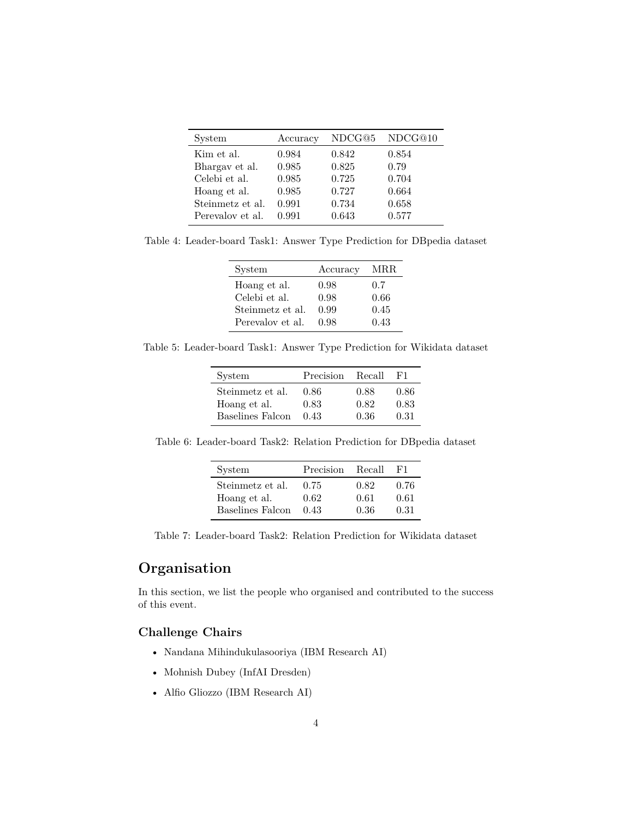| System           | Accuracy | NDCG@5 | NDCG@10 |
|------------------|----------|--------|---------|
| Kim et al.       | 0.984    | 0.842  | 0.854   |
| Bhargay et al.   | 0.985    | 0.825  | 0.79    |
| Celebi et al.    | 0.985    | 0.725  | 0.704   |
| Hoang et al.     | 0.985    | 0.727  | 0.664   |
| Steinmetz et al. | 0.991    | 0.734  | 0.658   |
| Perevalov et al. | 0.991    | 0.643  | 0.577   |

Table 4: Leader-board Task1: Answer Type Prediction for DBpedia dataset

| System           | Accuracy | MRR  |
|------------------|----------|------|
| Hoang et al.     | 0.98     | 0.7  |
| Celebi et al.    | 0.98     | 0.66 |
| Steinmetz et al. | 0.99     | 0.45 |
| Perevalov et al. | 0.98     | 0.43 |

Table 5: Leader-board Task1: Answer Type Prediction for Wikidata dataset

| System           | Precision | Recall | F1.  |
|------------------|-----------|--------|------|
| Steinmetz et al. | 0.86      | 0.88   | 0.86 |
| Hoang et al.     | 0.83      | 0.82   | 0.83 |
| Baselines Falcon | 0.43      | 0.36   | 0.31 |

Table 6: Leader-board Task2: Relation Prediction for DBpedia dataset

| System           | Precision | Recall | H'I. |
|------------------|-----------|--------|------|
| Steinmetz et al. | 0.75      | 0.82   | 0.76 |
| Hoang et al.     | 0.62      | 0.61   | 0.61 |
| Baselines Falcon | 0.43      | 0.36   | 0.31 |

Table 7: Leader-board Task2: Relation Prediction for Wikidata dataset

# **Organisation**

In this section, we list the people who organised and contributed to the success of this event.

### **Challenge Chairs**

- Nandana Mihindukulasooriya (IBM Research AI)
- Mohnish Dubey (InfAI Dresden)
- Alfio Gliozzo (IBM Research AI)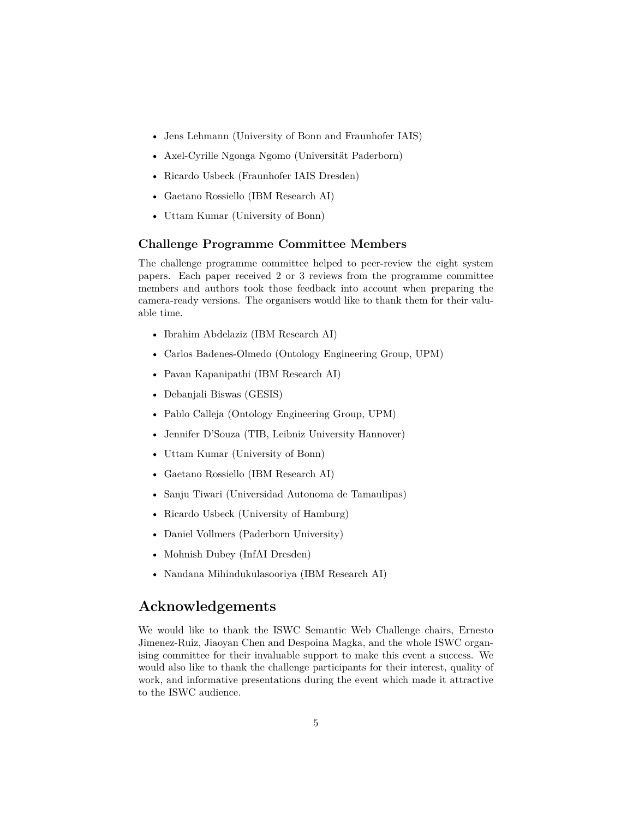- Jens Lehmann (University of Bonn and Fraunhofer IAIS)
- Axel-Cyrille Ngonga Ngomo (Universität Paderborn)
- Ricardo Usbeck (Fraunhofer IAIS Dresden)
- Gaetano Rossiello (IBM Research AI)
- Uttam Kumar (University of Bonn)

#### **Challenge Programme Committee Members**

The challenge programme committee helped to peer-review the eight system papers. Each paper received 2 or 3 reviews from the programme committee members and authors took those feedback into account when preparing the camera-ready versions. The organisers would like to thank them for their valuable time.

- Ibrahim Abdelaziz (IBM Research AI)
- Carlos Badenes-Olmedo (Ontology Engineering Group, UPM)
- Pavan Kapanipathi (IBM Research AI)
- Debanjali Biswas (GESIS)
- Pablo Calleja (Ontology Engineering Group, UPM)
- Jennifer D'Souza (TIB, Leibniz University Hannover)
- Uttam Kumar (University of Bonn)
- Gaetano Rossiello (IBM Research AI)
- Sanju Tiwari (Universidad Autonoma de Tamaulipas)
- Ricardo Usbeck (University of Hamburg)
- Daniel Vollmers (Paderborn University)
- Mohnish Dubey (InfAI Dresden)
- Nandana Mihindukulasooriya (IBM Research AI)

## **Acknowledgements**

We would like to thank the ISWC Semantic Web Challenge chairs, Ernesto Jimenez-Ruiz, Jiaoyan Chen and Despoina Magka, and the whole ISWC organising committee for their invaluable support to make this event a success. We would also like to thank the challenge participants for their interest, quality of work, and informative presentations during the event which made it attractive to the ISWC audience.